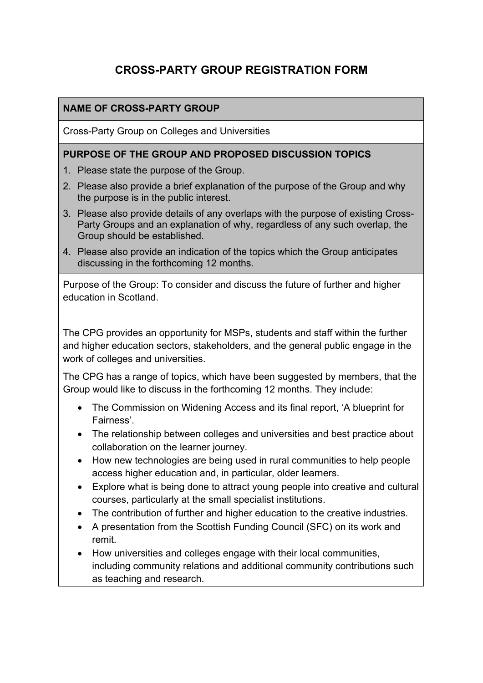# **CROSS-PARTY GROUP REGISTRATION FORM**

### **NAME OF CROSS-PARTY GROUP**

Cross-Party Group on Colleges and Universities

#### **PURPOSE OF THE GROUP AND PROPOSED DISCUSSION TOPICS**

- 1. Please state the purpose of the Group.
- 2. Please also provide a brief explanation of the purpose of the Group and why the purpose is in the public interest.
- 3. Please also provide details of any overlaps with the purpose of existing Cross-Party Groups and an explanation of why, regardless of any such overlap, the Group should be established.
- 4. Please also provide an indication of the topics which the Group anticipates discussing in the forthcoming 12 months.

Purpose of the Group: To consider and discuss the future of further and higher education in Scotland.

The CPG provides an opportunity for MSPs, students and staff within the further and higher education sectors, stakeholders, and the general public engage in the work of colleges and universities.

The CPG has a range of topics, which have been suggested by members, that the Group would like to discuss in the forthcoming 12 months. They include:

- The Commission on Widening Access and its final report, 'A blueprint for Fairness'.
- The relationship between colleges and universities and best practice about collaboration on the learner journey.
- How new technologies are being used in rural communities to help people access higher education and, in particular, older learners.
- Explore what is being done to attract young people into creative and cultural courses, particularly at the small specialist institutions.
- The contribution of further and higher education to the creative industries.
- A presentation from the Scottish Funding Council (SFC) on its work and remit.
- How universities and colleges engage with their local communities, including community relations and additional community contributions such as teaching and research.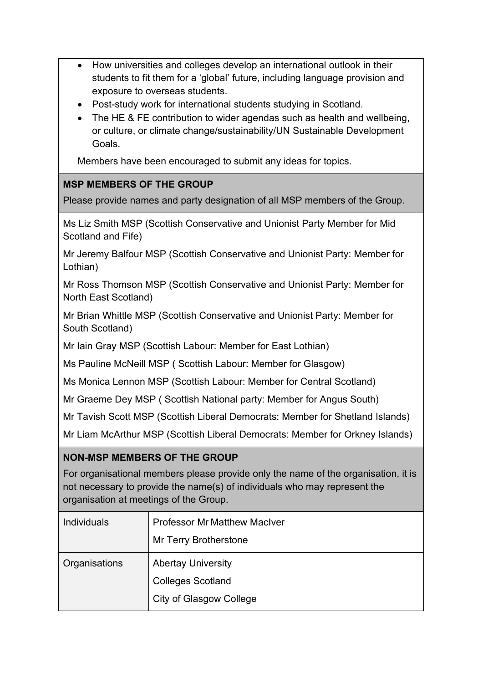- How universities and colleges develop an international outlook in their students to fit them for a 'global' future, including language provision and exposure to overseas students.
- Post-study work for international students studying in Scotland.
- The HE & FE contribution to wider agendas such as health and wellbeing, or culture, or climate change/sustainability/UN Sustainable Development Goals.

Members have been encouraged to submit any ideas for topics.

### **MSP MEMBERS OF THE GROUP**

Please provide names and party designation of all MSP members of the Group.

Ms Liz Smith MSP (Scottish Conservative and Unionist Party Member for Mid Scotland and Fife)

Mr Jeremy Balfour MSP (Scottish Conservative and Unionist Party: Member for Lothian)

Mr Ross Thomson MSP (Scottish Conservative and Unionist Party: Member for North East Scotland)

Mr Brian Whittle MSP (Scottish Conservative and Unionist Party: Member for South Scotland)

Mr Iain Gray MSP (Scottish Labour: Member for East Lothian)

Ms Pauline McNeill MSP ( Scottish Labour: Member for Glasgow)

Ms Monica Lennon MSP (Scottish Labour: Member for Central Scotland)

Mr Graeme Dey MSP ( Scottish National party: Member for Angus South)

Mr Tavish Scott MSP (Scottish Liberal Democrats: Member for Shetland Islands)

Mr Liam McArthur MSP (Scottish Liberal Democrats: Member for Orkney Islands)

### **NON-MSP MEMBERS OF THE GROUP**

For organisational members please provide only the name of the organisation, it is not necessary to provide the name(s) of individuals who may represent the organisation at meetings of the Group.

| <b>Individuals</b> | <b>Professor Mr Matthew MacIver</b><br>Mr Terry Brotherstone |
|--------------------|--------------------------------------------------------------|
| Organisations      | <b>Abertay University</b>                                    |
|                    | <b>Colleges Scotland</b>                                     |
|                    | <b>City of Glasgow College</b>                               |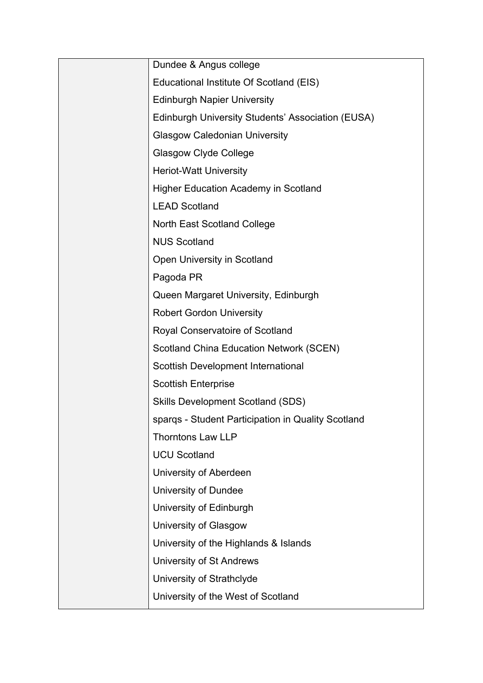| Dundee & Angus college                             |
|----------------------------------------------------|
| Educational Institute Of Scotland (EIS)            |
| <b>Edinburgh Napier University</b>                 |
| Edinburgh University Students' Association (EUSA)  |
| <b>Glasgow Caledonian University</b>               |
| <b>Glasgow Clyde College</b>                       |
| <b>Heriot-Watt University</b>                      |
| <b>Higher Education Academy in Scotland</b>        |
| <b>LEAD Scotland</b>                               |
| <b>North East Scotland College</b>                 |
| <b>NUS Scotland</b>                                |
| Open University in Scotland                        |
| Pagoda PR                                          |
| Queen Margaret University, Edinburgh               |
| <b>Robert Gordon University</b>                    |
| Royal Conservatoire of Scotland                    |
| <b>Scotland China Education Network (SCEN)</b>     |
| Scottish Development International                 |
| <b>Scottish Enterprise</b>                         |
| <b>Skills Development Scotland (SDS)</b>           |
| sparqs - Student Participation in Quality Scotland |
| <b>Thorntons Law LLP</b>                           |
| <b>UCU Scotland</b>                                |
| University of Aberdeen                             |
| University of Dundee                               |
| University of Edinburgh                            |
| University of Glasgow                              |
| University of the Highlands & Islands              |
| <b>University of St Andrews</b>                    |
| University of Strathclyde                          |
| University of the West of Scotland                 |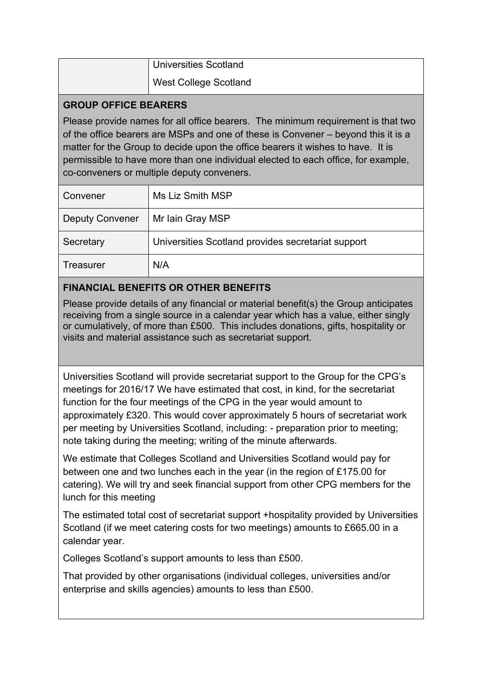| <b>Universities Scotland</b> |
|------------------------------|
| <b>West College Scotland</b> |

#### **GROUP OFFICE BEARERS**

Please provide names for all office bearers. The minimum requirement is that two of the office bearers are MSPs and one of these is Convener – beyond this it is a matter for the Group to decide upon the office bearers it wishes to have. It is permissible to have more than one individual elected to each office, for example, co-conveners or multiple deputy conveners.

| Convener               | Ms Liz Smith MSP                                   |
|------------------------|----------------------------------------------------|
| <b>Deputy Convener</b> | Mr Iain Gray MSP                                   |
| Secretary              | Universities Scotland provides secretariat support |
| Treasurer              | N/A                                                |

# **FINANCIAL BENEFITS OR OTHER BENEFITS**

Please provide details of any financial or material benefit(s) the Group anticipates receiving from a single source in a calendar year which has a value, either singly or cumulatively, of more than £500. This includes donations, gifts, hospitality or visits and material assistance such as secretariat support.

Universities Scotland will provide secretariat support to the Group for the CPG's meetings for 2016/17 We have estimated that cost, in kind, for the secretariat function for the four meetings of the CPG in the year would amount to approximately £320. This would cover approximately 5 hours of secretariat work per meeting by Universities Scotland, including: - preparation prior to meeting; note taking during the meeting; writing of the minute afterwards.

We estimate that Colleges Scotland and Universities Scotland would pay for between one and two lunches each in the year (in the region of £175.00 for catering). We will try and seek financial support from other CPG members for the lunch for this meeting

The estimated total cost of secretariat support +hospitality provided by Universities Scotland (if we meet catering costs for two meetings) amounts to £665.00 in a calendar year.

Colleges Scotland's support amounts to less than £500.

That provided by other organisations (individual colleges, universities and/or enterprise and skills agencies) amounts to less than £500.